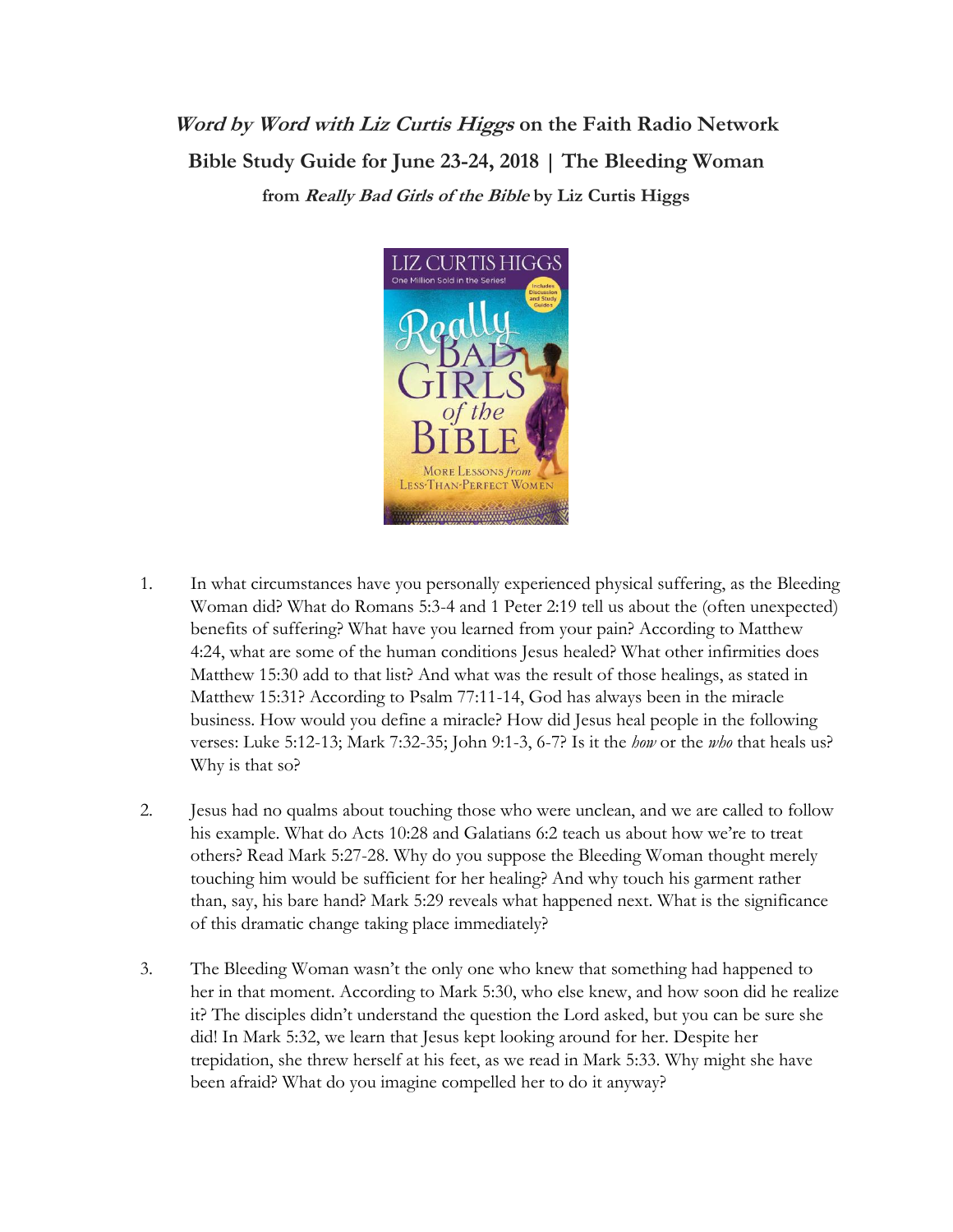## **Word by Word with Liz Curtis Higgs on the Faith Radio Network Bible Study Guide for June 23-24, 2018 | The Bleeding Woman from Really Bad Girls of the Bible by Liz Curtis Higgs**



- 1. In what circumstances have you personally experienced physical suffering, as the Bleeding Woman did? What do Romans 5:3-4 and 1 Peter 2:19 tell us about the (often unexpected) benefits of suffering? What have you learned from your pain? According to Matthew 4:24, what are some of the human conditions Jesus healed? What other infirmities does Matthew 15:30 add to that list? And what was the result of those healings, as stated in Matthew 15:31? According to Psalm 77:11-14, God has always been in the miracle business. How would you define a miracle? How did Jesus heal people in the following verses: Luke 5:12-13; Mark 7:32-35; John 9:1-3, 6-7? Is it the *how* or the *who* that heals us? Why is that so?
- 2. Jesus had no qualms about touching those who were unclean, and we are called to follow his example. What do Acts 10:28 and Galatians 6:2 teach us about how we're to treat others? Read Mark 5:27-28. Why do you suppose the Bleeding Woman thought merely touching him would be sufficient for her healing? And why touch his garment rather than, say, his bare hand? Mark 5:29 reveals what happened next. What is the significance of this dramatic change taking place immediately?
- 3. The Bleeding Woman wasn't the only one who knew that something had happened to her in that moment. According to Mark 5:30, who else knew, and how soon did he realize it? The disciples didn't understand the question the Lord asked, but you can be sure she did! In Mark 5:32, we learn that Jesus kept looking around for her. Despite her trepidation, she threw herself at his feet, as we read in Mark 5:33. Why might she have been afraid? What do you imagine compelled her to do it anyway?